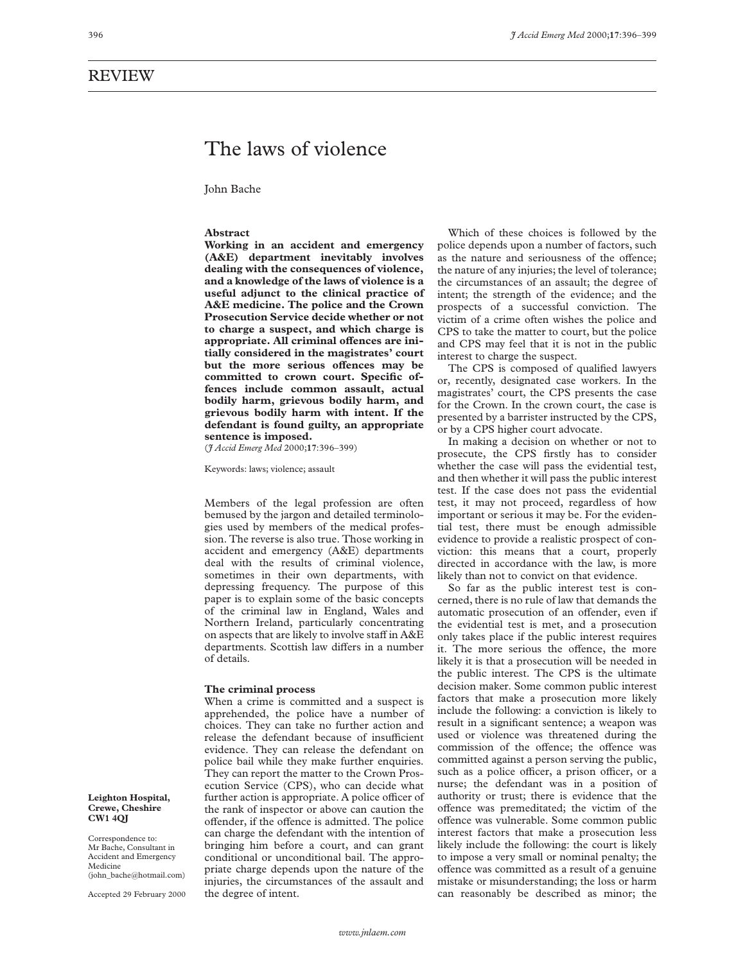# The laws of violence

John Bache

# **Abstract**

**Working in an accident and emergency (A&E) department inevitably involves dealing with the consequences of violence, and a knowledge of the laws of violence is a useful adjunct to the clinical practice of A&E medicine. The police and the Crown Prosecution Service decide whether or not to charge a suspect, and which charge is** appropriate. All criminal offences are ini**tially considered in the magistrates' court** but the more serious offences may be **committed to crown court. Specific offences include common assault, actual bodily harm, grievous bodily harm, and grievous bodily harm with intent. If the defendant is found guilty, an appropriate sentence is imposed.**

(*J Accid Emerg Med* 2000;**17**:396–399)

Keywords: laws; violence; assault

Members of the legal profession are often bemused by the jargon and detailed terminologies used by members of the medical profession. The reverse is also true. Those working in accident and emergency (A&E) departments deal with the results of criminal violence, sometimes in their own departments, with depressing frequency. The purpose of this paper is to explain some of the basic concepts of the criminal law in England, Wales and Northern Ireland, particularly concentrating on aspects that are likely to involve staff in A&E departments. Scottish law differs in a number of details.

### **The criminal process**

When a crime is committed and a suspect is apprehended, the police have a number of choices. They can take no further action and release the defendant because of insufficient evidence. They can release the defendant on police bail while they make further enquiries. They can report the matter to the Crown Prosecution Service (CPS), who can decide what further action is appropriate. A police officer of the rank of inspector or above can caution the offender, if the offence is admitted. The police can charge the defendant with the intention of bringing him before a court, and can grant conditional or unconditional bail. The appropriate charge depends upon the nature of the injuries, the circumstances of the assault and the degree of intent.

Which of these choices is followed by the police depends upon a number of factors, such as the nature and seriousness of the offence; the nature of any injuries; the level of tolerance; the circumstances of an assault; the degree of intent; the strength of the evidence; and the prospects of a successful conviction. The victim of a crime often wishes the police and CPS to take the matter to court, but the police and CPS may feel that it is not in the public interest to charge the suspect.

The CPS is composed of qualified lawyers or, recently, designated case workers. In the magistrates' court, the CPS presents the case for the Crown. In the crown court, the case is presented by a barrister instructed by the CPS, or by a CPS higher court advocate.

In making a decision on whether or not to prosecute, the CPS firstly has to consider whether the case will pass the evidential test, and then whether it will pass the public interest test. If the case does not pass the evidential test, it may not proceed, regardless of how important or serious it may be. For the evidential test, there must be enough admissible evidence to provide a realistic prospect of conviction: this means that a court, properly directed in accordance with the law, is more likely than not to convict on that evidence.

So far as the public interest test is concerned, there is no rule of law that demands the automatic prosecution of an offender, even if the evidential test is met, and a prosecution only takes place if the public interest requires it. The more serious the offence, the more likely it is that a prosecution will be needed in the public interest. The CPS is the ultimate decision maker. Some common public interest factors that make a prosecution more likely include the following: a conviction is likely to result in a significant sentence; a weapon was used or violence was threatened during the commission of the offence; the offence was committed against a person serving the public, such as a police officer, a prison officer, or a nurse; the defendant was in a position of authority or trust; there is evidence that the offence was premeditated; the victim of the offence was vulnerable. Some common public interest factors that make a prosecution less likely include the following: the court is likely to impose a very small or nominal penalty; the offence was committed as a result of a genuine mistake or misunderstanding; the loss or harm can reasonably be described as minor; the

**Leighton Hospital, Crewe, Cheshire CW1 4QJ**

Correspondence to: Mr Bache, Consultant in Accident and Emergency Medicine (john\_bache@hotmail.com)

Accepted 29 February 2000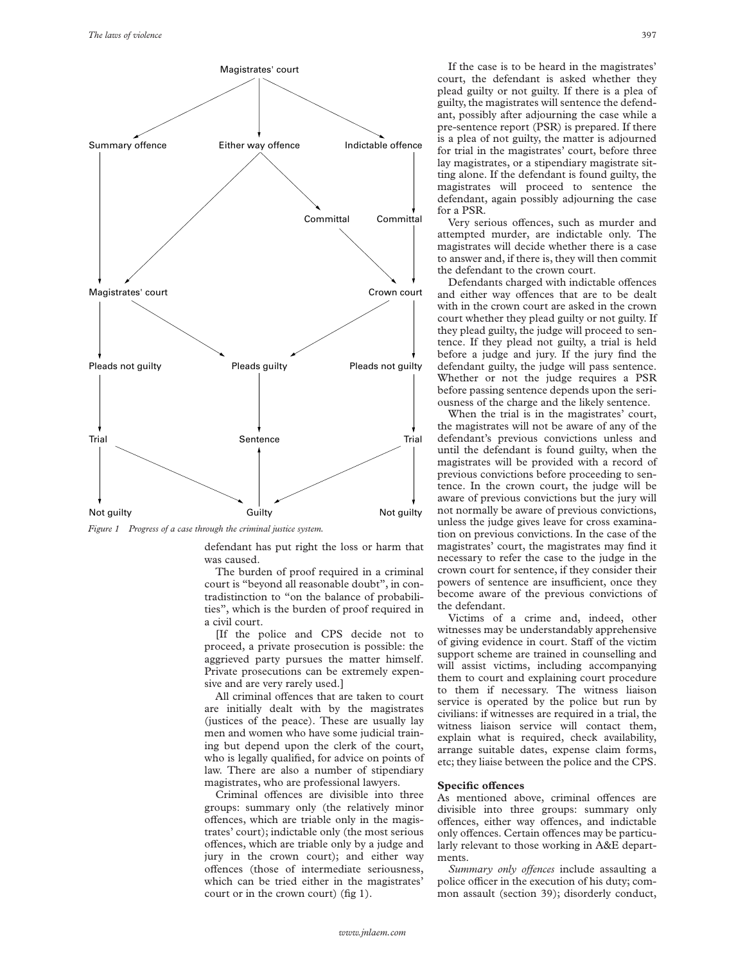

*Figure 1 Progress of a case through the criminal justice system.*

defendant has put right the loss or harm that was caused.

The burden of proof required in a criminal court is "beyond all reasonable doubt", in contradistinction to "on the balance of probabilities", which is the burden of proof required in a civil court.

[If the police and CPS decide not to proceed, a private prosecution is possible: the aggrieved party pursues the matter himself. Private prosecutions can be extremely expensive and are very rarely used.]

All criminal offences that are taken to court are initially dealt with by the magistrates (justices of the peace). These are usually lay men and women who have some judicial training but depend upon the clerk of the court, who is legally qualified, for advice on points of law. There are also a number of stipendiary magistrates, who are professional lawyers.

Criminal offences are divisible into three groups: summary only (the relatively minor offences, which are triable only in the magistrates' court); indictable only (the most serious offences, which are triable only by a judge and jury in the crown court); and either way offences (those of intermediate seriousness, which can be tried either in the magistrates' court or in the crown court) (fig 1).

If the case is to be heard in the magistrates' court, the defendant is asked whether they plead guilty or not guilty. If there is a plea of guilty, the magistrates will sentence the defendant, possibly after adjourning the case while a pre-sentence report (PSR) is prepared. If there is a plea of not guilty, the matter is adjourned for trial in the magistrates' court, before three lay magistrates, or a stipendiary magistrate sitting alone. If the defendant is found guilty, the magistrates will proceed to sentence the defendant, again possibly adjourning the case for a PSR.

Very serious offences, such as murder and attempted murder, are indictable only. The magistrates will decide whether there is a case to answer and, if there is, they will then commit the defendant to the crown court.

Defendants charged with indictable offences and either way offences that are to be dealt with in the crown court are asked in the crown court whether they plead guilty or not guilty. If they plead guilty, the judge will proceed to sentence. If they plead not guilty, a trial is held before a judge and jury. If the jury find the defendant guilty, the judge will pass sentence. Whether or not the judge requires a PSR before passing sentence depends upon the seriousness of the charge and the likely sentence.

When the trial is in the magistrates' court, the magistrates will not be aware of any of the defendant's previous convictions unless and until the defendant is found guilty, when the magistrates will be provided with a record of previous convictions before proceeding to sentence. In the crown court, the judge will be aware of previous convictions but the jury will not normally be aware of previous convictions, unless the judge gives leave for cross examination on previous convictions. In the case of the magistrates' court, the magistrates may find it necessary to refer the case to the judge in the crown court for sentence, if they consider their powers of sentence are insufficient, once they become aware of the previous convictions of the defendant.

Victims of a crime and, indeed, other witnesses may be understandably apprehensive of giving evidence in court. Staff of the victim support scheme are trained in counselling and will assist victims, including accompanying them to court and explaining court procedure to them if necessary. The witness liaison service is operated by the police but run by civilians: if witnesses are required in a trial, the witness liaison service will contact them, explain what is required, check availability, arrange suitable dates, expense claim forms, etc; they liaise between the police and the CPS.

## **Specific offences**

As mentioned above, criminal offences are divisible into three groups: summary only offences, either way offences, and indictable only offences. Certain offences may be particularly relevant to those working in A&E departments.

*Summary only offences* include assaulting a police officer in the execution of his duty; common assault (section 39); disorderly conduct,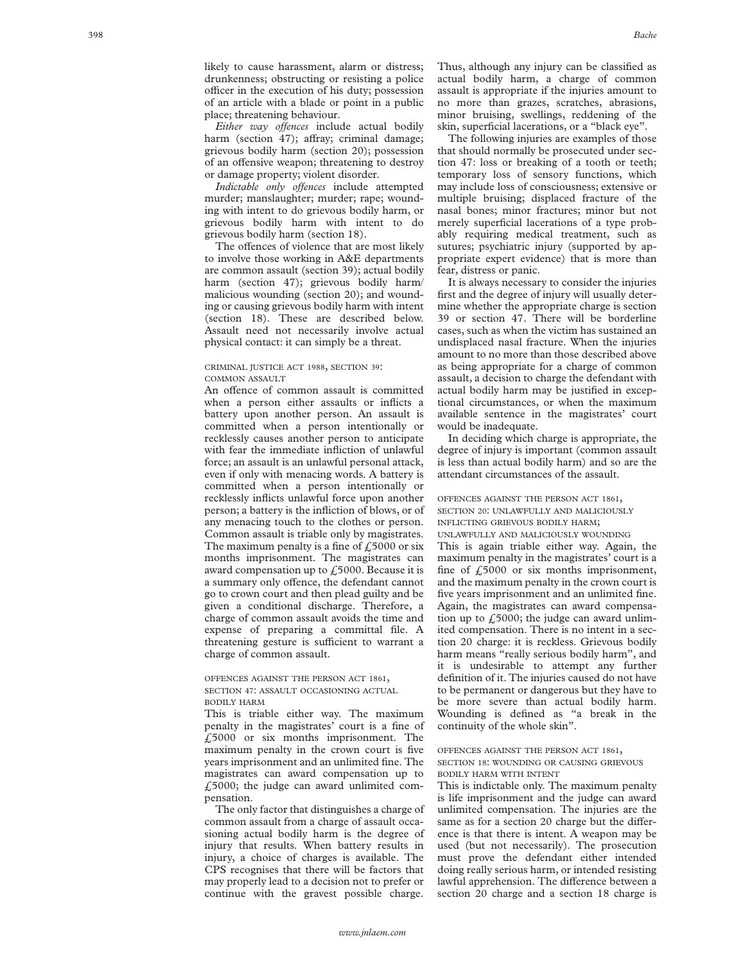likely to cause harassment, alarm or distress; drunkenness; obstructing or resisting a police officer in the execution of his duty; possession of an article with a blade or point in a public place; threatening behaviour.

*Either way offences* include actual bodily harm (section 47); affray; criminal damage; grievous bodily harm (section 20); possession of an offensive weapon; threatening to destroy or damage property; violent disorder.

Indictable only offences include attempted murder; manslaughter; murder; rape; wounding with intent to do grievous bodily harm, or grievous bodily harm with intent to do grievous bodily harm (section 18).

The offences of violence that are most likely to involve those working in A&E departments are common assault (section 39); actual bodily harm (section 47); grievous bodily harm/ malicious wounding (section 20); and wounding or causing grievous bodily harm with intent (section 18). These are described below. Assault need not necessarily involve actual physical contact: it can simply be a threat.

#### CRIMINAL JUSTICE ACT 1988, SECTION 39: COMMON ASSAULT

An offence of common assault is committed when a person either assaults or inflicts a battery upon another person. An assault is committed when a person intentionally or recklessly causes another person to anticipate with fear the immediate infliction of unlawful force; an assault is an unlawful personal attack, even if only with menacing words. A battery is committed when a person intentionally or recklessly inflicts unlawful force upon another person; a battery is the infliction of blows, or of any menacing touch to the clothes or person. Common assault is triable only by magistrates. The maximum penalty is a fine of  $\text{\textsterling}5000$  or six months imprisonment. The magistrates can award compensation up to  $f_{15000}$ . Because it is a summary only offence, the defendant cannot go to crown court and then plead guilty and be given a conditional discharge. Therefore, a charge of common assault avoids the time and expense of preparing a committal file. A threatening gesture is sufficient to warrant a charge of common assault.

# OFFENCES AGAINST THE PERSON ACT 1861, SECTION 47: ASSAULT OCCASIONING ACTUAL BODILY HARM

This is triable either way. The maximum penalty in the magistrates' court is a fine of £5000 or six months imprisonment. The maximum penalty in the crown court is five years imprisonment and an unlimited fine. The magistrates can award compensation up to  $£5000$ ; the judge can award unlimited compensation.

The only factor that distinguishes a charge of common assault from a charge of assault occasioning actual bodily harm is the degree of injury that results. When battery results in injury, a choice of charges is available. The CPS recognises that there will be factors that may properly lead to a decision not to prefer or continue with the gravest possible charge.

Thus, although any injury can be classified as actual bodily harm, a charge of common assault is appropriate if the injuries amount to no more than grazes, scratches, abrasions, minor bruising, swellings, reddening of the skin, superficial lacerations, or a "black eye".

The following injuries are examples of those that should normally be prosecuted under section 47: loss or breaking of a tooth or teeth; temporary loss of sensory functions, which may include loss of consciousness; extensive or multiple bruising; displaced fracture of the nasal bones; minor fractures; minor but not merely superficial lacerations of a type probably requiring medical treatment, such as sutures; psychiatric injury (supported by appropriate expert evidence) that is more than fear, distress or panic.

It is always necessary to consider the injuries first and the degree of injury will usually determine whether the appropriate charge is section 39 or section 47. There will be borderline cases, such as when the victim has sustained an undisplaced nasal fracture. When the injuries amount to no more than those described above as being appropriate for a charge of common assault, a decision to charge the defendant with actual bodily harm may be justified in exceptional circumstances, or when the maximum available sentence in the magistrates' court would be inadequate.

In deciding which charge is appropriate, the degree of injury is important (common assault is less than actual bodily harm) and so are the attendant circumstances of the assault.

OFFENCES AGAINST THE PERSON ACT 1861, SECTION 20: UNLAWFULLY AND MALICIOUSLY INFLICTING GRIEVOUS BODILY HARM; UNLAWFULLY AND MALICIOUSLY WOUNDING This is again triable either way. Again, the maximum penalty in the magistrates' court is a fine of  $f_{\text{0}}$  5000 or six months imprisonment, and the maximum penalty in the crown court is five years imprisonment and an unlimited fine. Again, the magistrates can award compensation up to  $\text{\textsterling}5000$ ; the judge can award unlimited compensation. There is no intent in a section 20 charge: it is reckless. Grievous bodily harm means "really serious bodily harm", and it is undesirable to attempt any further definition of it. The injuries caused do not have to be permanent or dangerous but they have to be more severe than actual bodily harm. Wounding is defined as "a break in the continuity of the whole skin".

## OFFENCES AGAINST THE PERSON ACT 1861, SECTION 18: WOUNDING OR CAUSING GRIEVOUS BODILY HARM WITH INTENT

This is indictable only. The maximum penalty is life imprisonment and the judge can award unlimited compensation. The injuries are the same as for a section 20 charge but the difference is that there is intent. A weapon may be used (but not necessarily). The prosecution must prove the defendant either intended doing really serious harm, or intended resisting lawful apprehension. The difference between a section 20 charge and a section 18 charge is